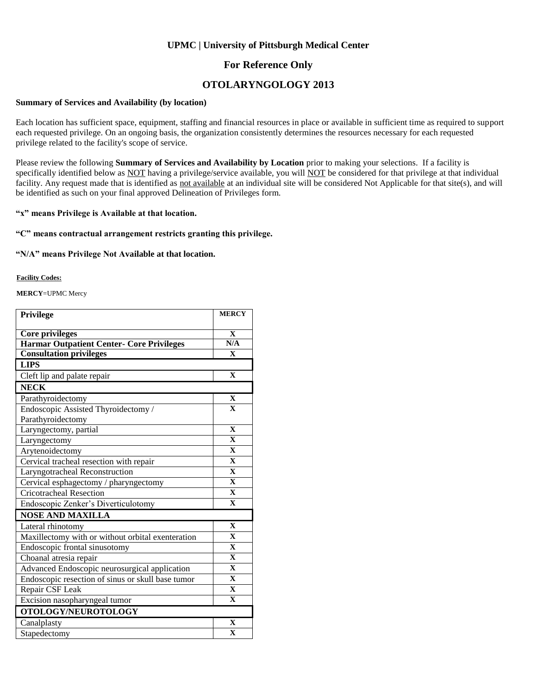### **UPMC | University of Pittsburgh Medical Center**

### **For Reference Only**

## **OTOLARYNGOLOGY 2013**

#### **Summary of Services and Availability (by location)**

Each location has sufficient space, equipment, staffing and financial resources in place or available in sufficient time as required to support each requested privilege. On an ongoing basis, the organization consistently determines the resources necessary for each requested privilege related to the facility's scope of service.

Please review the following **Summary of Services and Availability by Location** prior to making your selections. If a facility is specifically identified below as NOT having a privilege/service available, you will NOT be considered for that privilege at that individual facility. Any request made that is identified as not available at an individual site will be considered Not Applicable for that site(s), and will be identified as such on your final approved Delineation of Privileges form.

### **"x" means Privilege is Available at that location.**

#### **"C" means contractual arrangement restricts granting this privilege.**

#### **"N/A" means Privilege Not Available at that location.**

#### **Facility Codes:**

**MERCY**=UPMC Mercy

| Privilege                                         | <b>MERCY</b>            |
|---------------------------------------------------|-------------------------|
|                                                   |                         |
| <b>Core privileges</b>                            | $\mathbf{X}$            |
| <b>Harmar Outpatient Center- Core Privileges</b>  | N/A                     |
| <b>Consultation privileges</b>                    | $\mathbf{X}$            |
| <b>LIPS</b>                                       |                         |
| Cleft lip and palate repair                       | $\mathbf{X}$            |
| <b>NECK</b>                                       |                         |
| Parathyroidectomy                                 | $\mathbf X$             |
| Endoscopic Assisted Thyroidectomy /               | $\overline{\mathbf{X}}$ |
| Parathyroidectomy                                 |                         |
| Laryngectomy, partial                             | $\mathbf{X}$            |
| Laryngectomy                                      | $\mathbf{X}$            |
| Arytenoidectomy                                   | $\mathbf{X}$            |
| Cervical tracheal resection with repair           | $\mathbf{X}$            |
| Laryngotracheal Reconstruction                    | $\mathbf X$             |
| Cervical esphagectomy / pharyngectomy             | $\mathbf{X}$            |
| <b>Cricotracheal Resection</b>                    | $\mathbf X$             |
| Endoscopic Zenker's Diverticulotomy               | $\mathbf{X}$            |
| <b>NOSE AND MAXILLA</b>                           |                         |
| Lateral rhinotomy                                 | $\mathbf{X}$            |
| Maxillectomy with or without orbital exenteration | $\overline{\mathbf{X}}$ |
| Endoscopic frontal sinusotomy                     | $\mathbf{X}$            |
| Choanal atresia repair                            | $\mathbf X$             |
| Advanced Endoscopic neurosurgical application     | $\mathbf{X}$            |
| Endoscopic resection of sinus or skull base tumor | $\mathbf{X}$            |
| Repair CSF Leak                                   | $\mathbf{X}$            |
| Excision nasopharyngeal tumor                     | $\mathbf{X}$            |
| OTOLOGY/NEUROTOLOGY                               |                         |
| Canalplasty                                       | $\mathbf{X}$            |
| Stapedectomy                                      | $\mathbf{X}$            |